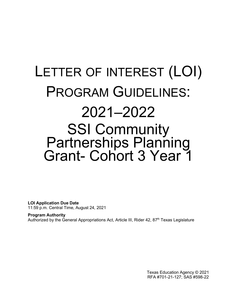# LETTER OF INTEREST (LOI) PROGRAM GUIDELINES: 2021–2022 SSI Community<br>Partnerships Planning Grant- Cohort 3 Year 1

<span id="page-0-0"></span>**LOI Application Due Date** 11:59 p.m. Central Time, August 24, 2021

<span id="page-0-1"></span>**Program Authority** Authorized by the General Appropriations Act, Article III, Rider 42, 87<sup>th</sup> Texas Legislature

> Texas Education Agency © 2021 RFA #701-21-127; SAS #598-22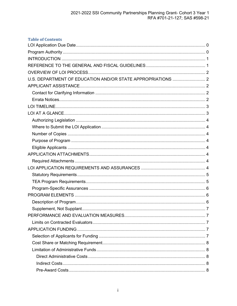| <b>Table of Contents</b> |  |
|--------------------------|--|
|                          |  |
|                          |  |
|                          |  |
|                          |  |
|                          |  |
|                          |  |
|                          |  |
|                          |  |
|                          |  |
|                          |  |
|                          |  |
|                          |  |
|                          |  |
|                          |  |
|                          |  |
|                          |  |
|                          |  |
|                          |  |
|                          |  |
|                          |  |
|                          |  |
|                          |  |
|                          |  |
|                          |  |
|                          |  |
|                          |  |
|                          |  |
|                          |  |
|                          |  |
|                          |  |
|                          |  |
|                          |  |
|                          |  |
|                          |  |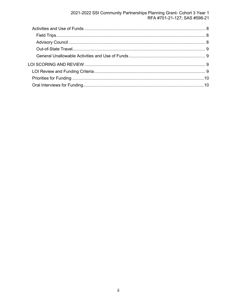2021-2022 SSI Community Partnerships Planning Grant- Cohort 3 Year 1<br>RFA #701-21-127; SAS #598-21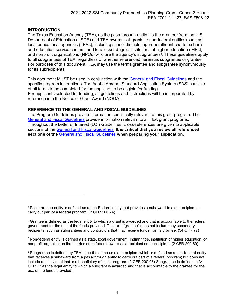### <span id="page-3-0"></span>**INTRODUCTION**

The Texas Education Agenc[y](#page-3-2) (TEA), as the pass-through entity $\cdot$ , is the grantee $\circ$  from the U.S. Department of Education (USDE) and TEA awards subgrants to non-federal entities<sup>[3](#page-3-4)</sup> such as local educational agencies (LEAs), including school districts, open-enrollment charter schools, and education service centers, and to a lesser degree institutions of higher education (IHEs), and nonprofit organizations (NPOs) who are the agency's subgrantees<sup>[4](#page-3-5)</sup>. These guidelines apply to all subgrantees of TEA, regardless of whether referenced herein as subgrantee or grantee. For purposes of this document, TEA may use the terms grantee and subgrantee synonymously for its subrecipients.

This document MUST be used in conjunction with the [General and Fiscal Guidelines](http://tea.texas.gov/WorkArea/linkit.aspx?LinkIdentifier=id&ItemID=25769819073) and the specific program instructions. The Adobe Acrobat Standard Application System (SAS) consists of all forms to be completed for the applicant to be eligible for funding. For applicants selected for funding, all guidelines and instructions will be incorporated by reference into the Notice of Grant Award (NOGA).

### <span id="page-3-1"></span>**REFERENCE TO THE GENERAL AND FISCAL GUIDELINES**

The Program Guidelines provide information specifically relevant to this grant program. The General and Fiscal [Guidelines](http://tea.texas.gov/WorkArea/linkit.aspx?LinkIdentifier=id&ItemID=25769819073) provide information relevant to all TEA grant programs. Throughout the Letter of Interest (LOI) Guidelines, cross-references are given to applicable sections of the [General and Fiscal Guidelines.](http://tea.texas.gov/WorkArea/linkit.aspx?LinkIdentifier=id&ItemID=25769819073) **It is critical that you review all referenced sections of the** General and Fiscal [Guidelines](http://tea.texas.gov/WorkArea/linkit.aspx?LinkIdentifier=id&ItemID=25769819073) **when preparing your application.**

<span id="page-3-4"></span>3 Non-federal entity is defined as a state, local government, Indian tribe, institution of higher education, or nonprofit organization that carries out a federal award as a recipient or subrecipient. (2 CFR 200.69)

<span id="page-3-2"></span><sup>1</sup> Pass-through entity is defined as a non-Federal entity that provides a subaward to a subrecipient to carry out part of a federal program. (2 CFR 200.74)

<span id="page-3-3"></span> $2$  Grantee is defined as the legal entity to which a grant is awarded and that is accountable to the federal government for the use of the funds provided. The term "grantee" does not include any secondary recipients, such as subgrantees and contractors that may receive funds from a grantee. (34 CFR 77)

<span id="page-3-5"></span><sup>4</sup> Subgrantee is defined by TEA to be the same as a subrecipient which is defined as a non-federal entity that receives a subaward from a pass-through entity to carry out part of a federal program; but does not include an individual that is a beneficiary of such program. (2 CFR 200.93) Subgrantee is defined in 34 CFR 77 as the legal entity to which a subgrant is awarded and that is accountable to the grantee for the use of the funds provided.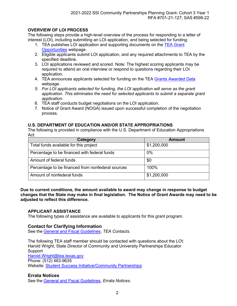# <span id="page-4-0"></span>**OVERVIEW OF LOI PROCESS**

The following steps provide a high-level overview of the process for responding to a letter of interest (LOI), including submitting an LOI application, and being selected for funding:

- 1. TEA publishes LOI application and supporting documents on the [TEA Grant](http://tea4avoswald.tea.state.tx.us/GrantOpportunities/forms/GrantProgramSearch.aspx) [Opportunities](http://tea4avoswald.tea.state.tx.us/GrantOpportunities/forms/GrantProgramSearch.aspx) webpage.
- 2. Eligible applicants submit LOI application, and any required attachments to TEA by the specified deadline.
- 3. LOI applications reviewed and scored. Note: The highest scoring applicants may be required to attend an oral interview or respond to questions regarding their LOI application.
- 4. TEA announces applicants selected for funding on the TEA [Grants Awarded Data](https://tea.texas.gov/Finance_and_Grants/Grants/Grants_Awarded/Grants_Awarded_Data/) webpage.
- *5. For LOI applicants selected for funding, the LOI application will serve as the grant application. This eliminates the need for selected applicants to submit a separate grant application.*
- 6. TEA staff conducts budget negotiations on the LOI application.
- 7. Notice of Grant Award (NOGA) issued upon successful completion of the negotiation process.

#### <span id="page-4-1"></span>**U.S. DEPARTMENT OF EDUCATION AND/OR STATE APPROPRIATIONS**

The following is provided in compliance with the U.S. Department of Education Appropriations Act:

| Category                                          | <b>Amount</b> |
|---------------------------------------------------|---------------|
| Total funds available for this project            | \$1,200,000   |
| Percentage to be financed with federal funds      | 0%            |
| Amount of federal funds                           | \$0           |
| Percentage to be financed from nonfederal sources | 100%          |
| Amount of nonfederal funds                        | \$1,200,000   |

#### **Due to current conditions, the amount available to award may change in response to budget changes that the State may make in final legislation. The Notice of Grant Awards may need to be adjusted to reflect this difference.**

#### <span id="page-4-2"></span>**APPLICANT ASSISTANCE**

The following types of assistance are available to applicants for this grant program.

#### <span id="page-4-3"></span>**Contact for Clarifying Information**

See the General and Fiscal [Guidelines,](https://tea.texas.gov/finance-and-grants/grants/grants-administration/guidelines-provisions-and-assurances) *TEA Contacts*.

The following TEA staff member should be contacted with questions about the LOI: Harold Wright, State Director of Community and University Partnerships Educator Support [Harold.Wright@tea.texas.gov](mailto:Harold.Wright@tea.texas.gov) Phone: (512) 463-9635 Website: Student Success [Initiative/Community](https://tea.texas.gov/Texas_Schools/Support_for_At-Risk_Schools_and_Students/Community_and_University_Partnerships-_Student_Success_Initiative/) Partnerships

#### <span id="page-4-4"></span>**Errata Notices**

<span id="page-4-5"></span>See the General and Fiscal [Guidelines,](https://tea.texas.gov/finance-and-grants/grants/grants-administration/guidelines-provisions-and-assurances) *Errata Notices*.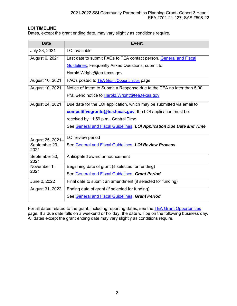# **LOI TIMELINE**

Dates, except the grant ending date, may vary slightly as conditions require.

| <b>Date</b>           | <b>Event</b>                                                            |
|-----------------------|-------------------------------------------------------------------------|
| July 23, 2021         | LOI available                                                           |
| August 6, 2021        | Last date to submit FAQs to TEA contact person. General and Fiscal      |
|                       | <b>Guidelines, Frequently Asked Questions; submit to</b>                |
|                       | Harold.Wright@tea.texas.gov                                             |
| August 10, 2021       | FAQs posted to TEA Grant Opportunities page                             |
| August 10, 2021       | Notice of Intent to Submit a Response due to the TEA no later than 5:00 |
|                       | PM. Send notice to Harold. Wright@tea.texas.gov                         |
| August 24, 2021       | Due date for the LOI application, which may be submitted via email to   |
|                       | <b>competitivegrants@tea.texas.gov</b> ; the LOI application must be    |
|                       | received by 11:59 p.m., Central Time.                                   |
|                       | See General and Fiscal Guidelines, LOI Application Due Date and Time    |
| August 25, 2021-      | LOI review period                                                       |
| September 23,<br>2021 | See General and Fiscal Guidelines, LOI Review Process                   |
| September 30,<br>2021 | Anticipated award announcement                                          |
| November 1,           | Beginning date of grant (if selected for funding)                       |
| 2021                  | See General and Fiscal Guidelines, Grant Period                         |
| June 2, 2022          | Final date to submit an amendment (if selected for funding)             |
| August 31, 2022       | Ending date of grant (if selected for funding)                          |
|                       | See General and Fiscal Guidelines, Grant Period                         |

<span id="page-5-0"></span>For all dates related to the grant, including reporting dates, see the **TEA Grant Opportunities** page. If a due date falls on a weekend or holiday, the date will be on the following business day. All dates except the grant ending date may vary slightly as conditions require.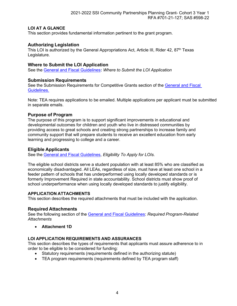# **LOI AT A GLANCE**

This section provides fundamental information pertinent to the grant program.

# <span id="page-6-0"></span>**Authorizing Legislation**

This LOI is authorized by the General Appropriations Act, Article III, Rider 42, 87<sup>th</sup> Texas Legislature.

# <span id="page-6-1"></span>**Where to Submit the LOI Application**

See the General and Fiscal [Guidelines](https://tea.texas.gov/finance-and-grants/grants/grants-administration/guidelines-provisions-and-assurances)**:** *Where to Submit the LOI Application*

# <span id="page-6-2"></span>**Submission Requirements**

See the Submission Requirements for Competitive Grants section of the [General and Fiscal](https://tea.texas.gov/finance-and-grants/grants/grants-administration/guidelines-provisions-and-assurances)  [Guidelines.](https://tea.texas.gov/finance-and-grants/grants/grants-administration/guidelines-provisions-and-assurances)

Note: TEA requires applications to be emailed. Multiple applications per applicant must be submitted in separate emails.

# **Purpose of Program**

The purpose of this program is to support significant improvements in educational and developmental outcomes for children and youth who live in distressed communities by providing access to great schools and creating strong partnerships to increase family and community support that will prepare students to receive an excellent education from early learning and progressing to college and a career.

# <span id="page-6-3"></span>**Eligible Applicants**

See the General and Fiscal [Guidelines,](https://tea.texas.gov/finance-and-grants/grants/grants-administration/guidelines-provisions-and-assurances) *Eligibility To Apply for LOIs*.

The eligible school districts serve a student population with at least 85% who are classified as economically disadvantaged. All LEAs, regardless of size, must have at least one school in a feeder pattern of schools that has underperformed using locally developed standards or is formerly Improvement Required in state accountability. School districts must show proof of school underperformance when using locally developed standards to justify eligibility.

# <span id="page-6-4"></span>**APPLICATION ATTACHMENTS**

This section describes the required attachments that must be included with the application.

# <span id="page-6-5"></span>**Required Attachments**

See the following section of the [General and Fiscal Guidelines:](https://tea.texas.gov/finance-and-grants/grants/grants-administration/guidelines-provisions-and-assurances) *Required Program-Related Attachments*

• **Attachment 1D**

# <span id="page-6-6"></span>**LOI APPLICATION REQUIREMENTS AND ASSURANCES**

This section describes the types of requirements that applicants must assure adherence to in order to be eligible to be considered for funding:

- Statutory requirements (requirements defined in the authorizing statute)
- <span id="page-6-7"></span>• TEA program requirements (requirements defined by TEA program staff)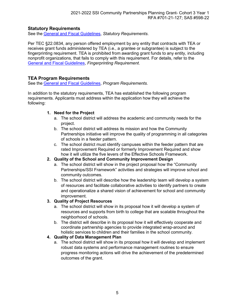# **Statutory Requirements**

See the General and Fiscal [Guidelines,](https://tea.texas.gov/finance-and-grants/grants/grants-administration/guidelines-provisions-and-assurances) *Statutory Requirements*.

Per TEC §22.0834, any person offered employment by any entity that contracts with TEA or receives grant funds administered by TEA (i.e., a grantee or subgrantee) is subject to the fingerprinting requirement. TEA is prohibited from awarding grant funds to any entity, including nonprofit organizations, that fails to comply with this requirement. For details, refer to the General and Fiscal [Guidelines,](https://tea.texas.gov/finance-and-grants/grants/grants-administration/guidelines-provisions-and-assurances) *Fingerprinting Requirement*.

# <span id="page-7-0"></span>**TEA Program Requirements**

See the General and Fiscal [Guidelines,](https://tea.texas.gov/finance-and-grants/grants/grants-administration/guidelines-provisions-and-assurances) *Program Requirements.*

In addition to the statutory requirements, TEA has established the following program requirements. Applicants must address within the application how they will achieve the following:

### **1. Need for the Project**

- a. The school district will address the academic and community needs for the project.
- b. The school district will address its mission and how the Community Partnerships initiative will improve the quality of programming in all categories of schools in a feeder pattern.
- c. The school district must identify campuses within the feeder pattern that are rated Improvement Required or formerly Improvement Required and show how it will utilize the five levers of the Effective Schools Framework.

# **2. Quality of the School and Community Improvement Design**

- a. The school district will show in the project proposal how the "Community Partnerships/SSI Framework" activities and strategies will improve school and community outcomes.
- b. The school district will describe how the leadership team will develop a system of resources and facilitate collaborative activities to identify partners to create and operationalize a shared vision of achievement for school and community improvement.

# **3. Quality of Project Resources**

- a. The school district will show in its proposal how it will develop a system of resources and supports from birth to college that are scalable throughout the neighborhood of schools.
- b. The district will describe in its proposal how it will effectively cooperate and coordinate partnership agencies to provide integrated wrap-around and holistic services to children and their families in the school community.

# **4. Quality of Data Management Plan**

a. The school district will show in its proposal how it will develop and implement robust data systems and performance management routines to ensure progress monitoring actions will drive the achievement of the predetermined outcomes of the grant.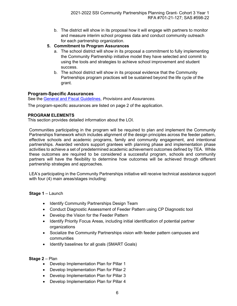- b. The district will show in its proposal how it will engage with partners to monitor and measure interim school progress data and conduct community outreach for each partnership organization.
- **5. Commitment to Program Assurances**
	- a. The school district will show in its proposal a commitment to fully implementing the Community Partnership initiative model they have selected and commit to using the tools and strategies to achieve school improvement and student success.
	- b. The school district will show in its proposal evidence that the Community Partnerships program practices will be sustained beyond the life cycle of the grant.

# <span id="page-8-0"></span>**Program-Specific Assurances**

See the General and Fiscal [Guidelines,](https://tea.texas.gov/finance-and-grants/grants/grants-administration/guidelines-provisions-and-assurances) *Provisions and Assurances*.

The program-specific assurances are listed on page 2 of the application.

# <span id="page-8-1"></span>**PROGRAM ELEMENTS**

This section provides detailed information about the LOI.

Communities participating in the program will be required to plan and implement the Community Partnerships framework which includes alignment of the design principles across the feeder pattern, effective schools and academic programs, family and community engagement, and intentional partnerships. Awarded vendors support grantees with planning phase and implementation phase activities to achieve a set of predetermined academic achievement outcomes defined by TEA. While these outcomes are required to be considered a successful program, schools and community partners will have the flexibility to determine how outcomes will be achieved through different partnership strategies and approaches.

LEA's participating in the Community Partnerships initiative will receive technical assistance support with four (4) main areas/stages including:

# **Stage 1** – Launch

- Identify Community Partnerships Design Team
- Conduct Diagnostic Assessment of Feeder Pattern using CP Diagnostic tool
- Develop the Vision for the Feeder Pattern
- Identify Priority Focus Areas, including initial identification of potential partner organizations
- Socialize the Community Partnerships vision with feeder pattern campuses and communities
- Identify baselines for all goals (SMART Goals)

# **Stage 2** – Plan

- Develop Implementation Plan for Pillar 1
- Develop Implementation Plan for Pillar 2
- Develop Implementation Plan for Pillar 3
- Develop Implementation Plan for Pillar 4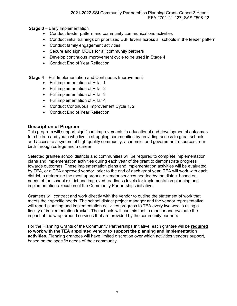- **Stage 3** Early Implementation
	- Conduct feeder pattern and community communications activities
	- Conduct initial trainings on prioritized ESF levers across all schools in the feeder pattern
	- Conduct family engagement activities
	- Secure and sign MOUs for all community partners
	- Develop continuous improvement cycle to be used in Stage 4
	- Conduct End of Year Reflection

**Stage 4** – Full Implementation and Continuous Improvement

- Full implementation of Pillar 1
- Full implementation of Pillar 2
- Full implementation of Pillar 3
- Full implementation of Pillar 4
- Conduct Continuous Improvement Cycle 1, 2
- Conduct End of Year Reflection

# <span id="page-9-0"></span>**Description of Program**

This program will support significant improvements in educational and developmental outcomes for children and youth who live in struggling communities by providing access to great schools and access to a system of high-quality community, academic, and government resources from birth through college and a career.

Selected grantee school districts and communities will be required to complete implementation plans and implementation activities during each year of the grant to demonstrate progress towards outcomes. These implementation plans and implementation activities will be evaluated by TEA, or a TEA approved vendor, prior to the end of each grant year. TEA will work with each district to determine the most appropriate vendor services needed by the district based on needs of the school district and improved readiness levels for implementation planning and implementation execution of the Community Partnerships initiative.

Grantees will contract and work directly with the vendor to outline the statement of work that meets their specific needs. The school district project manager and the vendor representative will report planning and implementation activities progress to TEA every two weeks using a fidelity of implementation tracker. The schools will use this tool to monitor and evaluate the impact of the wrap around services that are provided by the community partners.

For the Planning Grants of the Community Partnerships Initiative, each grantee will be **required to work with the TEA appointed vendor to support the planning and implementation activities**. Planning grantees will have limited discretion over which activities vendors support, based on the specific needs of their community.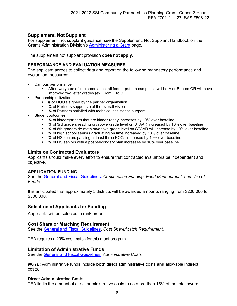# <span id="page-10-0"></span>**Supplement, Not Supplant**

For supplement, not supplant guidance, see the Supplement, Not Supplant Handbook on the Grants Administration Division's [Administering](https://tea.texas.gov/finance-and-grants/grants/grants-administration/administering-a-grant) a Grant page.

The supplement not supplant provision **does not apply**.

### <span id="page-10-1"></span>**PERFORMANCE AND EVALUATION MEASURES**

The applicant agrees to collect data and report on the following mandatory performance and evaluation measures:

- Campus performance
	- After two years of implementation, all feeder pattern campuses will be A or B rated OR will have improved two letter grades (ex. From F to C)
- Partnership utilization
	- # of MOU's signed by the partner organization
	- % of Partners supportive of the overall vision
	- % of Partners satisfied with technical assistance support
- Student outcomes
	- % of kindergartners that are kinder-ready increases by 10% over baseline
	- % of 3rd graders reading on/above grade level on STAAR increased by 10% over baseline
	- % of 8th graders do math on/above grade level on STAAR will increase by 10% over baseline
	- % of high school seniors graduating on time increased by 10% over baseline
	- % of HS seniors passing at least three EOCs increased by 10% over baseline
	- % of HS seniors with a post-secondary plan increases by 10% over baseline

#### <span id="page-10-2"></span>**Limits on Contracted Evaluators**

Applicants should make every effort to ensure that contracted evaluators be independent and objective.

#### <span id="page-10-3"></span>**APPLICATION FUNDING**

See the [General and Fiscal Guidelines:](https://tea.texas.gov/finance-and-grants/grants/grants-administration/guidelines-provisions-and-assurances) *Continuation Funding, Fund Management, and Use of Funds*

It is anticipated that approximately 5 districts will be awarded amounts ranging from \$200,000 to \$300,000.

# <span id="page-10-4"></span>**Selection of Applicants for Funding**

Applicants will be selected in rank order.

#### <span id="page-10-5"></span>**Cost Share or Matching Requirement**

See the [General and Fiscal Guidelines,](https://tea.texas.gov/finance-and-grants/grants/grants-administration/guidelines-provisions-and-assurances) *Cost Share/Match Requirement*.

TEA requires a 20% cost match for this grant program.

#### <span id="page-10-6"></span>**Limitation of Administrative Funds**

See the General and Fiscal [Guidelines,](https://tea.texas.gov/finance-and-grants/grants/grants-administration/guidelines-provisions-and-assurances) *Administrative Costs*.

*NOTE*: Administrative funds include **both** direct administrative costs **and** allowable indirect costs.

#### <span id="page-10-7"></span>**Direct Administrative Costs**

TEA limits the amount of direct administrative costs to no more than 15% of the total award.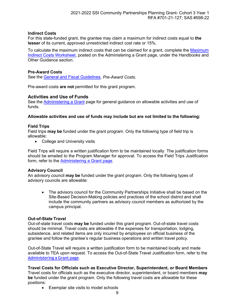#### <span id="page-11-0"></span>**Indirect Costs**

For this state-funded grant, the grantee may claim a maximum for indirect costs equal to **the lesser** of its current, approved unrestricted indirect cost rate or 15%.

To calculate the maximum indirect costs that can be claimed for a grant, complete the [Maximum](https://tea.texas.gov/Finance_and_Grants/Administering_a_Grant.aspx) [Indirect Costs Worksheet,](https://tea.texas.gov/Finance_and_Grants/Administering_a_Grant.aspx) posted on the Administering a Grant page, under the Handbooks and Other Guidance section.

#### <span id="page-11-1"></span>**Pre-Award Costs**

See the General and Fiscal [Guidelines,](https://tea.texas.gov/finance-and-grants/grants/grants-administration/guidelines-provisions-and-assurances) *Pre-Award Costs*.

Pre-award costs **are not** permitted for this grant program.

#### <span id="page-11-2"></span>**Activities and Use of Funds**

See the [Administering](http://www.tea.texas.gov/WorkArea/linkit.aspx?LinkIdentifier=id&ItemID=25769814700) a Grant page for general guidance on allowable activities and use of funds.

#### **Allowable activities and use of funds may include but are not limited to the following:**

#### <span id="page-11-3"></span>**Field Trips**

Field trips **may be** funded under the grant program. Only the following type of field trip is allowable:

• College and University visits

Field Trips will require a written justification form to be maintained locally. The justification forms should be emailed to the Program Manager for approval. To access the Field Trips Justification form, refer to the [Administering](https://tea.texas.gov/finance-and-grants/grants/grants-administration/administering-a-grant) a Grant page.

#### <span id="page-11-4"></span>**Advisory Council**

An advisory council **may be** funded under the grant program. Only the following types of advisory councils are allowable:

• The advisory council for the Community Partnerships Initiative shall be based on the Site-Based Decision-Making policies and practices of the school district and shall include the community partners as advisory council members as authorized by the campus principal.

#### <span id="page-11-5"></span>**Out-of-State Travel**

Out-of-state travel costs **may be** funded under this grant program. Out-of-state travel costs should be minimal. Travel costs are allowable if the expenses for transportation, lodging, subsistence, and related items are only incurred by employees on official business of the grantee and follow the grantee's regular business operations and written travel policy.

Out-of-State Travel will require a written justification form to be maintained locally and made available to TEA upon request. To access the Out-of-State Travel Justification form, refer to the [Administering](https://tea.texas.gov/finance-and-grants/grants/grants-administration/administering-a-grant) a Grant page.

**Travel Costs for Officials such as Executive Director, Superintendent, or Board Members** Travel costs for officials such as the executive director, superintendent, or board members **may be** funded under the grant program. Only the following travel costs are allowable for these positions:

• Exemplar site visits to model schools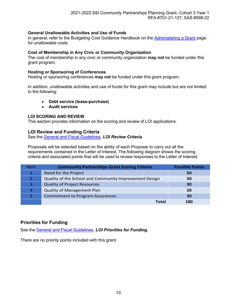# <span id="page-12-0"></span>**General Unallowable Activities and Use of Funds**

In general, refer to the Budgeting Cost Guidance Handbook on the [Administering a Grant](https://tea.texas.gov/finance-and-grants/grants/grants-administration/administering-a-grant) page for unallowable costs.

#### **Cost of Membership in Any Civic or Community Organization**

The cost of membership in any civic or community organization **may not** be funded under this grant program.

#### **Hosting or Sponsoring of Conferences**

Hosting or sponsoring conferences **may not** be funded under this grant program.

In addition, unallowable activities and use of funds for this grant may include but are not limited to the following:

#### • **Debt service (lease-purchase)**

• **Audit services**

#### <span id="page-12-1"></span>**LOI SCORING AND REVIEW**

This section provides information on the scoring and review of LOI applications.

#### <span id="page-12-2"></span>**LOI Review and Funding Criteria**

See the General and Fiscal [Guidelines,](https://tea.texas.gov/finance-and-grants/grants/grants-administration/guidelines-provisions-and-assurances) *LOI Review Criteria*.

Proposals will be selected based on the ability of each Proposer to carry out all the requirements contained in the Letter of Interest. The following diagram shows the scoring criteria and associated points that will be used to review responses to the Letter of Interest:

| Item | <b>Community Partnerships Grant Scoring Criteria</b>   | <b>Possible Points</b> |
|------|--------------------------------------------------------|------------------------|
|      | Need for the Project                                   | 50                     |
|      | Quality of the School and Community Improvement Design | 50                     |
| 3.   | <b>Quality of Project Resources</b>                    | 30                     |
| 4    | <b>Quality of Management Plan</b>                      | <b>20</b>              |
|      | <b>Commitment to Program Assurances</b>                | 30                     |
|      | Total                                                  | 180                    |

# <span id="page-12-3"></span>**Priorities for Funding**

See the General and Fiscal [Guidelines,](https://tea.texas.gov/finance-and-grants/grants/grants-administration/guidelines-provisions-and-assurances) *LOI Priorities for Funding*.

<span id="page-12-4"></span>There are no priority points included with this grant.